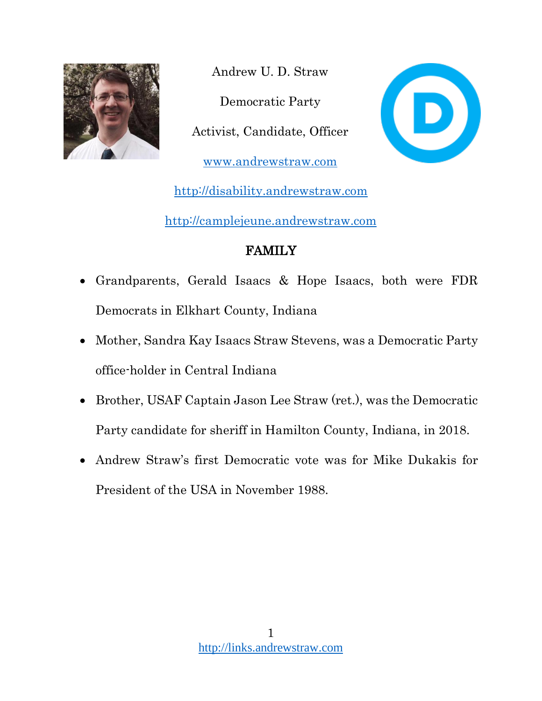

Andrew U. D. Straw Democratic Party Activist, Candidate, Officer [www.andrewstraw.com](http://www.andrewstraw.com/)



[http://disability.andrewstraw.com](http://disability.andrewstraw.com/)

[http://camplejeune.andrewstraw.com](http://camplejeune.andrewstraw.com/)

# FAMILY

- Grandparents, Gerald Isaacs & Hope Isaacs, both were FDR Democrats in Elkhart County, Indiana
- Mother, Sandra Kay Isaacs Straw Stevens, was a Democratic Party office-holder in Central Indiana
- Brother, USAF Captain Jason Lee Straw (ret.), was the Democratic Party candidate for sheriff in Hamilton County, Indiana, in 2018.
- Andrew Straw's first Democratic vote was for Mike Dukakis for President of the USA in November 1988.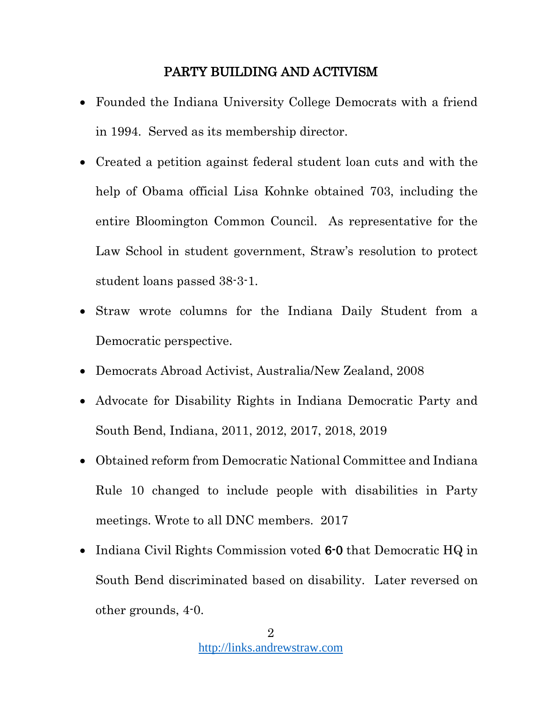#### PARTY BUILDING AND ACTIVISM

- Founded the Indiana University College Democrats with a friend in 1994. Served as its membership director.
- Created a petition against federal student loan cuts and with the help of Obama official Lisa Kohnke obtained 703, including the entire Bloomington Common Council. As representative for the Law School in student government, Straw's resolution to protect student loans passed 38-3-1.
- Straw wrote columns for the Indiana Daily Student from a Democratic perspective.
- Democrats Abroad Activist, Australia/New Zealand, 2008
- Advocate for Disability Rights in Indiana Democratic Party and South Bend, Indiana, 2011, 2012, 2017, 2018, 2019
- Obtained reform from Democratic National Committee and Indiana Rule 10 changed to include people with disabilities in Party meetings. Wrote to all DNC members. 2017
- Indiana Civil Rights Commission voted 6-0 that Democratic HQ in South Bend discriminated based on disability. Later reversed on other grounds, 4-0.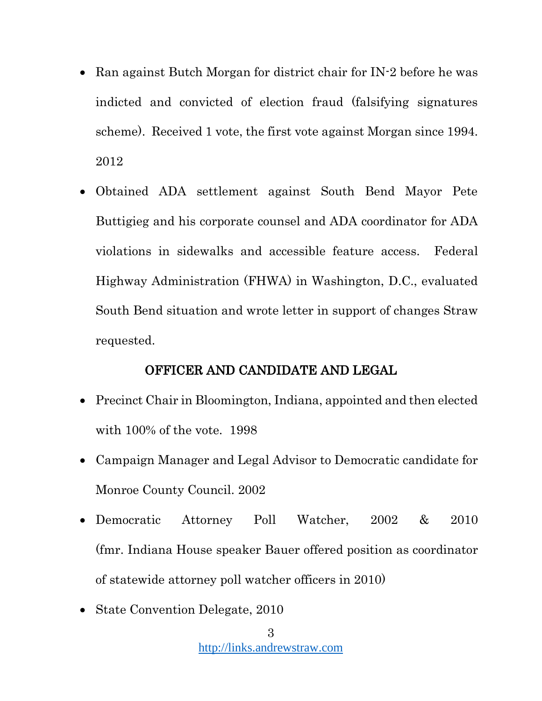- Ran against Butch Morgan for district chair for IN-2 before he was indicted and convicted of election fraud (falsifying signatures scheme). Received 1 vote, the first vote against Morgan since 1994. 2012
- Obtained ADA settlement against South Bend Mayor Pete Buttigieg and his corporate counsel and ADA coordinator for ADA violations in sidewalks and accessible feature access. Federal Highway Administration (FHWA) in Washington, D.C., evaluated South Bend situation and wrote letter in support of changes Straw requested.

#### OFFICER AND CANDIDATE AND LEGAL

- Precinct Chair in Bloomington, Indiana, appointed and then elected with 100% of the vote. 1998
- Campaign Manager and Legal Advisor to Democratic candidate for Monroe County Council. 2002
- Democratic Attorney Poll Watcher, 2002 & 2010 (fmr. Indiana House speaker Bauer offered position as coordinator of statewide attorney poll watcher officers in 2010)
- State Convention Delegate, 2010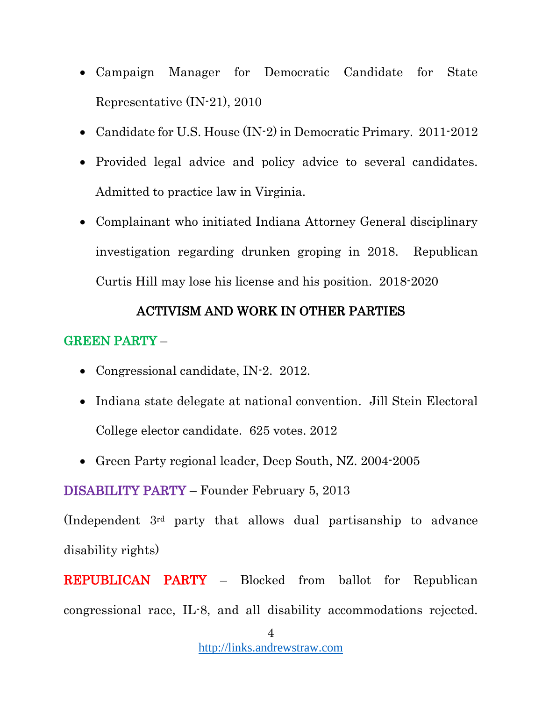- Campaign Manager for Democratic Candidate for State Representative (IN-21), 2010
- Candidate for U.S. House (IN-2) in Democratic Primary. 2011-2012
- Provided legal advice and policy advice to several candidates. Admitted to practice law in Virginia.
- Complainant who initiated Indiana Attorney General disciplinary investigation regarding drunken groping in 2018. Republican Curtis Hill may lose his license and his position. 2018-2020

### ACTIVISM AND WORK IN OTHER PARTIES

## GREEN PARTY –

- Congressional candidate, IN-2. 2012.
- Indiana state delegate at national convention. Jill Stein Electoral College elector candidate. 625 votes. 2012
- Green Party regional leader, Deep South, NZ. 2004-2005

DISABILITY PARTY – Founder February 5, 2013

(Independent 3rd party that allows dual partisanship to advance disability rights)

REPUBLICAN PARTY – Blocked from ballot for Republican congressional race, IL-8, and all disability accommodations rejected.